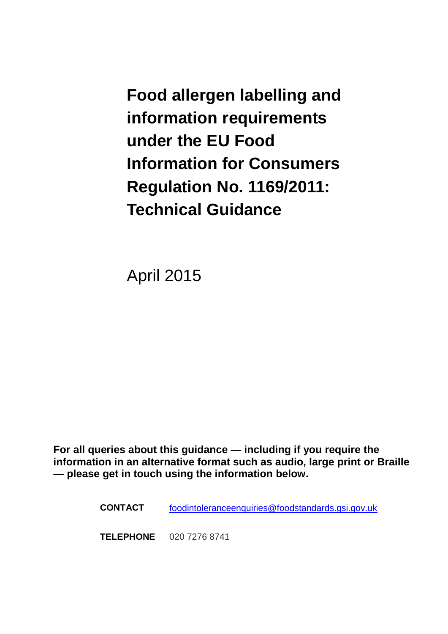<span id="page-0-0"></span>**Food allergen labelling and information requirements under the EU Food Information for Consumers Regulation No. 1169/2011: Technical Guidance** 

April 2015

**For all queries about this guidance — including if you require the information in an alternative format such as audio, large print or Braille — please get in touch using the information below.**

**CONTACT** [foodintoleranceenquiries@foodstandards.gsi.gov.uk](mailto:foodintoleranceenquiries@foodstandards.gsi.gov.uk)

**TELEPHONE** 020 7276 8741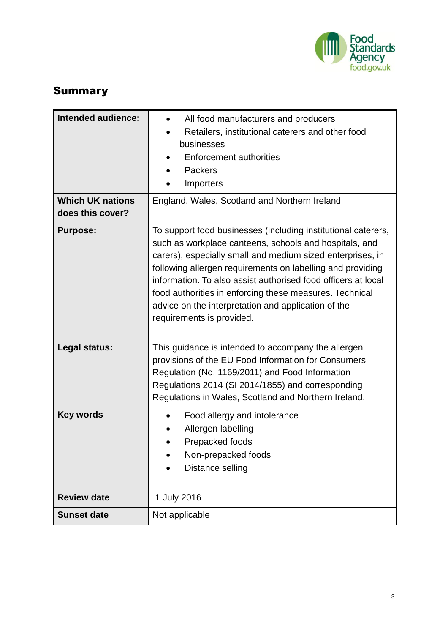

# <span id="page-1-0"></span>Summary

| <b>Intended audience:</b><br><b>Which UK nations</b> | All food manufacturers and producers<br>Retailers, institutional caterers and other food<br>businesses<br><b>Enforcement authorities</b><br>Packers<br>Importers<br>England, Wales, Scotland and Northern Ireland                                                                                                                                                                                                                                                   |  |  |  |  |  |  |
|------------------------------------------------------|---------------------------------------------------------------------------------------------------------------------------------------------------------------------------------------------------------------------------------------------------------------------------------------------------------------------------------------------------------------------------------------------------------------------------------------------------------------------|--|--|--|--|--|--|
| does this cover?                                     |                                                                                                                                                                                                                                                                                                                                                                                                                                                                     |  |  |  |  |  |  |
| <b>Purpose:</b>                                      | To support food businesses (including institutional caterers,<br>such as workplace canteens, schools and hospitals, and<br>carers), especially small and medium sized enterprises, in<br>following allergen requirements on labelling and providing<br>information. To also assist authorised food officers at local<br>food authorities in enforcing these measures. Technical<br>advice on the interpretation and application of the<br>requirements is provided. |  |  |  |  |  |  |
| Legal status:                                        | This guidance is intended to accompany the allergen<br>provisions of the EU Food Information for Consumers<br>Regulation (No. 1169/2011) and Food Information<br>Regulations 2014 (SI 2014/1855) and corresponding<br>Regulations in Wales, Scotland and Northern Ireland.                                                                                                                                                                                          |  |  |  |  |  |  |
| <b>Key words</b>                                     | Food allergy and intolerance<br>Allergen labelling<br>Prepacked foods<br>Non-prepacked foods<br>Distance selling                                                                                                                                                                                                                                                                                                                                                    |  |  |  |  |  |  |
| <b>Review date</b>                                   | 1 July 2016                                                                                                                                                                                                                                                                                                                                                                                                                                                         |  |  |  |  |  |  |
| <b>Sunset date</b>                                   | Not applicable                                                                                                                                                                                                                                                                                                                                                                                                                                                      |  |  |  |  |  |  |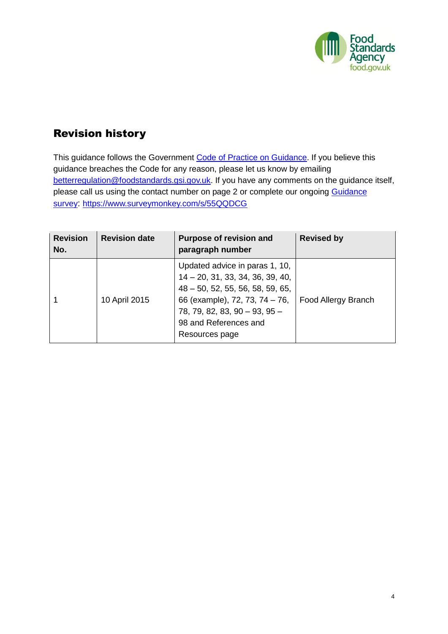

# <span id="page-2-0"></span>Revision history

This guidance follows the Government [Code of Practice on Guidance.](http://www.berr.gov.uk/files/file46950.pdf) If you believe this guidance breaches the Code for any reason, please let us know by emailing [betterregulation@foodstandards.gsi.gov.uk.](mailto:betterregulation@foodstandards.gsi.gov.uk) If you have any comments on the guidance itself, please call us using the contact number on page 2 or complete our ongoing Guidance [survey](https://www.surveymonkey.com/s/55QQDCG): <https://www.surveymonkey.com/s/55QQDCG>

| <b>Revision</b><br>No. | <b>Revision date</b> | <b>Purpose of revision and</b><br>paragraph number                                                                                                                                                                           | <b>Revised by</b>   |  |  |  |
|------------------------|----------------------|------------------------------------------------------------------------------------------------------------------------------------------------------------------------------------------------------------------------------|---------------------|--|--|--|
|                        | 10 April 2015        | Updated advice in paras 1, 10,<br>$14 - 20$ , 31, 33, 34, 36, 39, 40,<br>$48 - 50$ , 52, 55, 56, 58, 59, 65,<br>66 (example), 72, 73, 74 – 76,<br>$78, 79, 82, 83, 90 - 93, 95 -$<br>98 and References and<br>Resources page | Food Allergy Branch |  |  |  |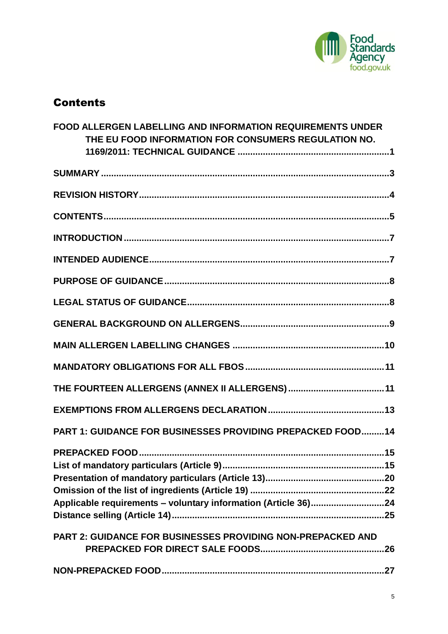

# <span id="page-3-0"></span>Contents

| <b>FOOD ALLERGEN LABELLING AND INFORMATION REQUIREMENTS UNDER</b><br>THE EU FOOD INFORMATION FOR CONSUMERS REGULATION NO. |
|---------------------------------------------------------------------------------------------------------------------------|
|                                                                                                                           |
|                                                                                                                           |
|                                                                                                                           |
|                                                                                                                           |
|                                                                                                                           |
|                                                                                                                           |
|                                                                                                                           |
|                                                                                                                           |
|                                                                                                                           |
|                                                                                                                           |
|                                                                                                                           |
|                                                                                                                           |
| <b>PART 1: GUIDANCE FOR BUSINESSES PROVIDING PREPACKED FOOD14</b>                                                         |
| Applicable requirements - voluntary information (Article 36)24                                                            |
| <b>PART 2: GUIDANCE FOR BUSINESSES PROVIDING NON-PREPACKED AND</b>                                                        |
|                                                                                                                           |
|                                                                                                                           |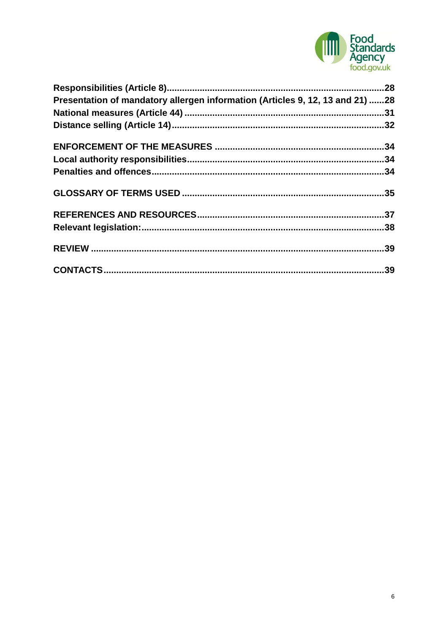

| Presentation of mandatory allergen information (Articles 9, 12, 13 and 21) 28 |  |
|-------------------------------------------------------------------------------|--|
|                                                                               |  |
|                                                                               |  |
|                                                                               |  |
|                                                                               |  |
|                                                                               |  |
|                                                                               |  |
|                                                                               |  |
|                                                                               |  |
|                                                                               |  |
|                                                                               |  |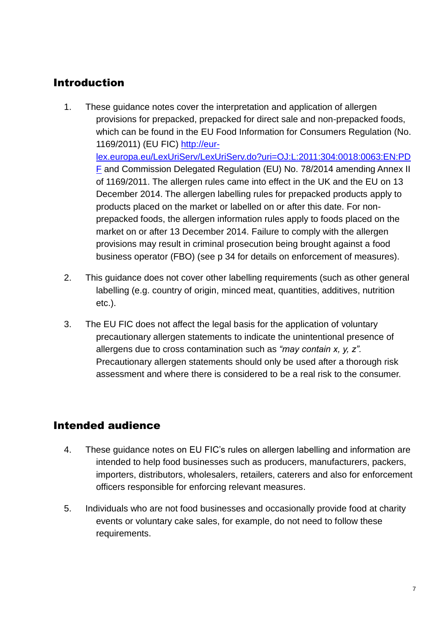# <span id="page-5-0"></span>Introduction

- 1. These guidance notes cover the interpretation and application of allergen provisions for prepacked, prepacked for direct sale and non-prepacked foods, which can be found in the EU Food Information for Consumers Regulation (No. 1169/2011) (EU FIC) [http://eur](http://eur-lex.europa.eu/LexUriServ/LexUriServ.do?uri=OJ:L:2011:304:0018:0063:EN:PDF)[lex.europa.eu/LexUriServ/LexUriServ.do?uri=OJ:L:2011:304:0018:0063:EN:PD](http://eur-lex.europa.eu/LexUriServ/LexUriServ.do?uri=OJ:L:2011:304:0018:0063:EN:PDF) [F](http://eur-lex.europa.eu/LexUriServ/LexUriServ.do?uri=OJ:L:2011:304:0018:0063:EN:PDF) and Commission Delegated Regulation (EU) No. 78/2014 amending Annex II of 1169/2011. The allergen rules came into effect in the UK and the EU on 13 December 2014. The allergen labelling rules for prepacked products apply to products placed on the market or labelled on or after this date. For nonprepacked foods, the allergen information rules apply to foods placed on the market on or after 13 December 2014. Failure to comply with the allergen provisions may result in criminal prosecution being brought against a food business operator (FBO) (see p 34 for details on enforcement of measures).
- 2. This guidance does not cover other labelling requirements (such as other general labelling (e.g. country of origin, minced meat, quantities, additives, nutrition etc.).
- 3. The EU FIC does not affect the legal basis for the application of voluntary precautionary allergen statements to indicate the unintentional presence of allergens due to cross contamination such as *"may contain x, y, z".*  Precautionary allergen statements should only be used after a thorough risk assessment and where there is considered to be a real risk to the consumer.

# <span id="page-5-1"></span>Intended audience

- 4. These guidance notes on EU FIC's rules on allergen labelling and information are intended to help food businesses such as producers, manufacturers, packers, importers, distributors, wholesalers, retailers, caterers and also for enforcement officers responsible for enforcing relevant measures.
- 5. Individuals who are not food businesses and occasionally provide food at charity events or voluntary cake sales, for example, do not need to follow these requirements.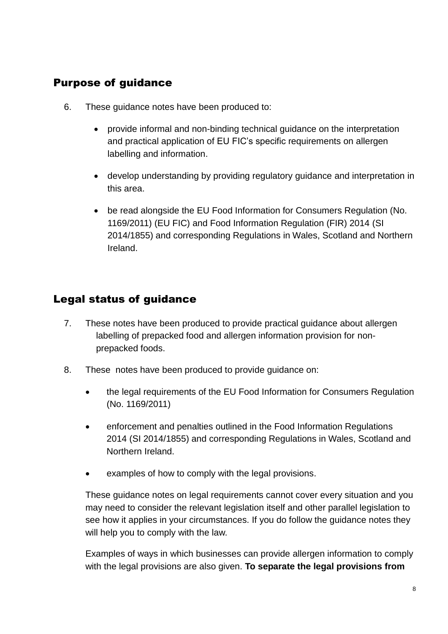## <span id="page-6-0"></span>Purpose of guidance

- 6. These guidance notes have been produced to:
	- provide informal and non-binding technical guidance on the interpretation and practical application of EU FIC's specific requirements on allergen labelling and information.
	- develop understanding by providing regulatory guidance and interpretation in this area.
	- be read alongside the EU Food Information for Consumers Regulation (No. 1169/2011) (EU FIC) and Food Information Regulation (FIR) 2014 (SI 2014/1855) and corresponding Regulations in Wales, Scotland and Northern Ireland.

# <span id="page-6-1"></span>Legal status of guidance

- 7. These notes have been produced to provide practical guidance about allergen labelling of prepacked food and allergen information provision for nonprepacked foods.
- 8. These notes have been produced to provide guidance on:
	- the legal requirements of the EU Food Information for Consumers Regulation (No. 1169/2011)
	- enforcement and penalties outlined in the Food Information Regulations 2014 (SI 2014/1855) and corresponding Regulations in Wales, Scotland and Northern Ireland.
	- examples of how to comply with the legal provisions.

These guidance notes on legal requirements cannot cover every situation and you may need to consider the relevant legislation itself and other parallel legislation to see how it applies in your circumstances. If you do follow the guidance notes they will help you to comply with the law.

Examples of ways in which businesses can provide allergen information to comply with the legal provisions are also given. **To separate the legal provisions from**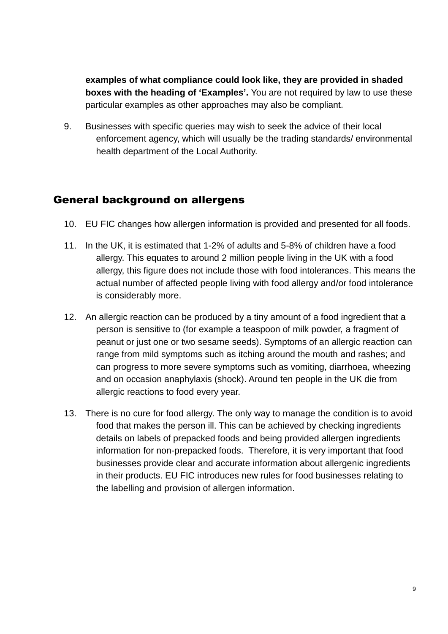**examples of what compliance could look like, they are provided in shaded boxes with the heading of 'Examples'.** You are not required by law to use these particular examples as other approaches may also be compliant.

9. Businesses with specific queries may wish to seek the advice of their local enforcement agency, which will usually be the trading standards/ environmental health department of the Local Authority.

## <span id="page-7-0"></span>General background on allergens

- 10. EU FIC changes how allergen information is provided and presented for all foods.
- 11. In the UK, it is estimated that 1-2% of adults and 5-8% of children have a food allergy. This equates to around 2 million people living in the UK with a food allergy, this figure does not include those with food intolerances. This means the actual number of affected people living with food allergy and/or food intolerance is considerably more.
- 12. An allergic reaction can be produced by a tiny amount of a food ingredient that a person is sensitive to (for example a teaspoon of milk powder, a fragment of peanut or just one or two sesame seeds). Symptoms of an allergic reaction can range from mild symptoms such as itching around the mouth and rashes; and can progress to more severe symptoms such as vomiting, diarrhoea, wheezing and on occasion anaphylaxis (shock). Around ten people in the UK die from allergic reactions to food every year.
- <span id="page-7-1"></span>13. There is no cure for food allergy. The only way to manage the condition is to avoid food that makes the person ill. This can be achieved by checking ingredients details on labels of prepacked foods and being provided allergen ingredients information for non-prepacked foods. Therefore, it is very important that food businesses provide clear and accurate information about allergenic ingredients in their products. EU FIC introduces new rules for food businesses relating to the labelling and provision of allergen information.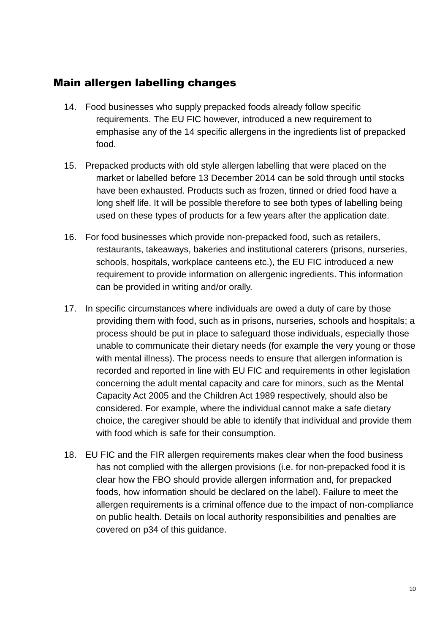## Main allergen labelling changes

- 14. Food businesses who supply prepacked foods already follow specific requirements. The EU FIC however, introduced a new requirement to emphasise any of the 14 specific allergens in the ingredients list of prepacked food.
- 15. Prepacked products with old style allergen labelling that were placed on the market or labelled before 13 December 2014 can be sold through until stocks have been exhausted. Products such as frozen, tinned or dried food have a long shelf life. It will be possible therefore to see both types of labelling being used on these types of products for a few years after the application date.
- 16. For food businesses which provide non-prepacked food, such as retailers, restaurants, takeaways, bakeries and institutional caterers (prisons, nurseries, schools, hospitals, workplace canteens etc.), the EU FIC introduced a new requirement to provide information on allergenic ingredients. This information can be provided in writing and/or orally.
- 17. In specific circumstances where individuals are owed a duty of care by those providing them with food, such as in prisons, nurseries, schools and hospitals; a process should be put in place to safeguard those individuals, especially those unable to communicate their dietary needs (for example the very young or those with mental illness). The process needs to ensure that allergen information is recorded and reported in line with EU FIC and requirements in other legislation concerning the adult mental capacity and care for minors, such as the Mental Capacity Act 2005 and the Children Act 1989 respectively, should also be considered. For example, where the individual cannot make a safe dietary choice, the caregiver should be able to identify that individual and provide them with food which is safe for their consumption.
- 18. EU FIC and the FIR allergen requirements makes clear when the food business has not complied with the allergen provisions (i.e. for non-prepacked food it is clear how the FBO should provide allergen information and, for prepacked foods, how information should be declared on the label). Failure to meet the allergen requirements is a criminal offence due to the impact of non-compliance on public health. Details on local authority responsibilities and penalties are covered on p34 of this guidance.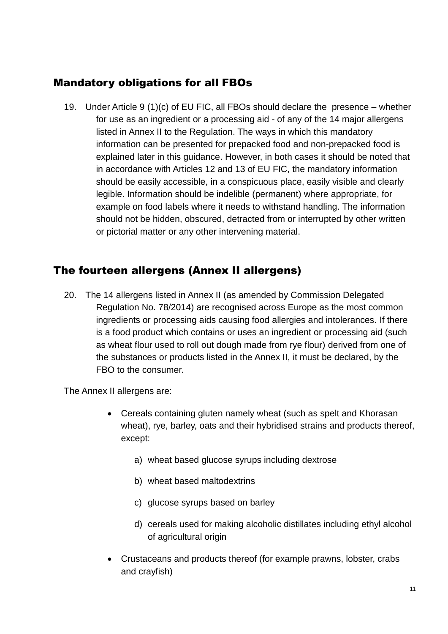# <span id="page-9-0"></span>Mandatory obligations for all FBOs

19. Under Article 9 (1)(c) of EU FIC, all FBOs should declare the presence – whether for use as an ingredient or a processing aid - of any of the 14 major allergens listed in Annex II to the Regulation. The ways in which this mandatory information can be presented for prepacked food and non-prepacked food is explained later in this guidance. However, in both cases it should be noted that in accordance with Articles 12 and 13 of EU FIC, the mandatory information should be easily accessible, in a conspicuous place, easily visible and clearly legible. Information should be indelible (permanent) where appropriate, for example on food labels where it needs to withstand handling. The information should not be hidden, obscured, detracted from or interrupted by other written or pictorial matter or any other intervening material.

## <span id="page-9-1"></span>The fourteen allergens (Annex II allergens)

20. The 14 allergens listed in Annex II (as amended by Commission Delegated Regulation No. 78/2014) are recognised across Europe as the most common ingredients or processing aids causing food allergies and intolerances. If there is a food product which contains or uses an ingredient or processing aid (such as wheat flour used to roll out dough made from rye flour) derived from one of the substances or products listed in the Annex II, it must be declared, by the FBO to the consumer.

The Annex II allergens are:

- Cereals containing gluten namely wheat (such as spelt and Khorasan wheat), rye, barley, oats and their hybridised strains and products thereof, except:
	- a) wheat based glucose syrups including dextrose
	- b) wheat based maltodextrins
	- c) glucose syrups based on barley
	- d) cereals used for making alcoholic distillates including ethyl alcohol of agricultural origin
- Crustaceans and products thereof (for example prawns, lobster, crabs and crayfish)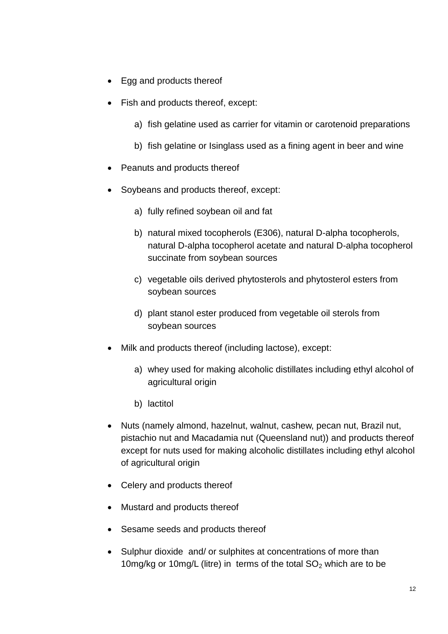- Egg and products thereof
- Fish and products thereof, except:
	- a) fish gelatine used as carrier for vitamin or carotenoid preparations
	- b) fish gelatine or Isinglass used as a fining agent in beer and wine
- Peanuts and products thereof
- Soybeans and products thereof, except:
	- a) fully refined soybean oil and fat
	- b) natural mixed tocopherols (E306), natural D-alpha tocopherols, natural D-alpha tocopherol acetate and natural D-alpha tocopherol succinate from soybean sources
	- c) vegetable oils derived phytosterols and phytosterol esters from soybean sources
	- d) plant stanol ester produced from vegetable oil sterols from soybean sources
- Milk and products thereof (including lactose), except:
	- a) whey used for making alcoholic distillates including ethyl alcohol of agricultural origin
	- b) lactitol
- Nuts (namely almond, hazelnut, walnut, cashew, pecan nut, Brazil nut, pistachio nut and Macadamia nut (Queensland nut)) and products thereof except for nuts used for making alcoholic distillates including ethyl alcohol of agricultural origin
- Celery and products thereof
- Mustard and products thereof
- Sesame seeds and products thereof
- Sulphur dioxide and/ or sulphites at concentrations of more than 10mg/kg or 10mg/L (litre) in terms of the total  $SO<sub>2</sub>$  which are to be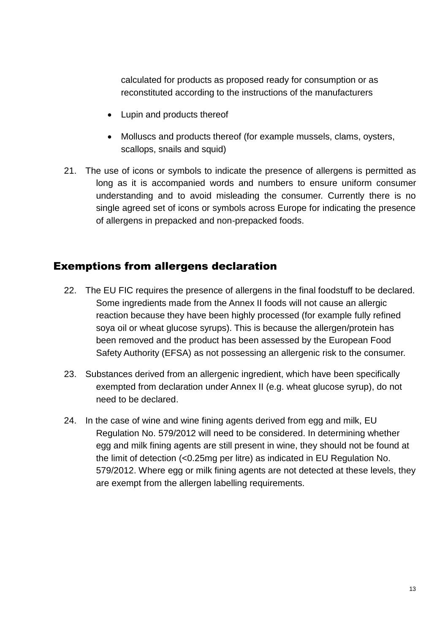calculated for products as proposed ready for consumption or as reconstituted according to the instructions of the manufacturers

- Lupin and products thereof
- Molluscs and products thereof (for example mussels, clams, oysters, scallops, snails and squid)
- 21. The use of icons or symbols to indicate the presence of allergens is permitted as long as it is accompanied words and numbers to ensure uniform consumer understanding and to avoid misleading the consumer. Currently there is no single agreed set of icons or symbols across Europe for indicating the presence of allergens in prepacked and non-prepacked foods.

## <span id="page-11-0"></span>Exemptions from allergens declaration

- 22. The EU FIC requires the presence of allergens in the final foodstuff to be declared. Some ingredients made from the Annex II foods will not cause an allergic reaction because they have been highly processed (for example fully refined soya oil or wheat glucose syrups). This is because the allergen/protein has been removed and the product has been assessed by the European Food Safety Authority (EFSA) as not possessing an allergenic risk to the consumer.
- 23. Substances derived from an allergenic ingredient, which have been specifically exempted from declaration under Annex II (e.g. wheat glucose syrup), do not need to be declared.
- 24. In the case of wine and wine fining agents derived from egg and milk, EU Regulation No. 579/2012 will need to be considered. In determining whether egg and milk fining agents are still present in wine, they should not be found at the limit of detection (<0.25mg per litre) as indicated in EU Regulation No. 579/2012. Where egg or milk fining agents are not detected at these levels, they are exempt from the allergen labelling requirements.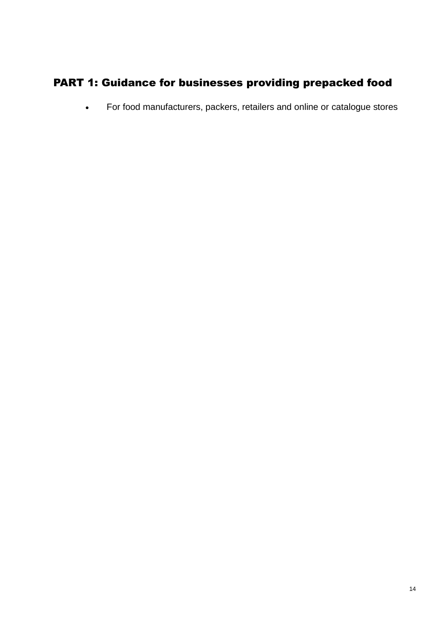# <span id="page-12-0"></span>PART 1: Guidance for businesses providing prepacked food

For food manufacturers, packers, retailers and online or catalogue stores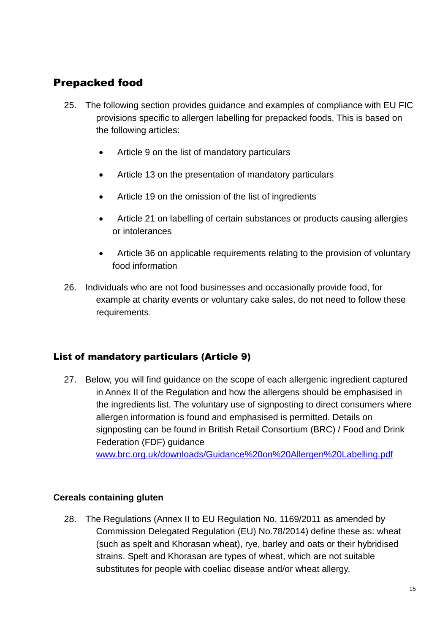# <span id="page-13-0"></span>Prepacked food

- 25. The following section provides guidance and examples of compliance with EU FIC provisions specific to allergen labelling for prepacked foods. This is based on the following articles:
	- Article 9 on the list of mandatory particulars
	- Article 13 on the presentation of mandatory particulars
	- Article 19 on the omission of the list of ingredients
	- Article 21 on labelling of certain substances or products causing allergies or intolerances
	- Article 36 on applicable requirements relating to the provision of voluntary food information
- 26. Individuals who are not food businesses and occasionally provide food, for example at charity events or voluntary cake sales, do not need to follow these requirements.

#### <span id="page-13-1"></span>List of mandatory particulars (Article 9)

27. Below, you will find guidance on the scope of each allergenic ingredient captured in Annex II of the Regulation and how the allergens should be emphasised in the ingredients list. The voluntary use of signposting to direct consumers where allergen information is found and emphasised is permitted. Details on signposting can be found in British Retail Consortium (BRC) / Food and Drink Federation (FDF) guidance

[www.brc.org.uk/downloads/Guidance%20on%20Allergen%20Labelling.pdf](http://www.brc.org.uk/downloads/Guidance%20on%20Allergen%20Labelling.pdf)

#### **Cereals containing gluten**

28. The Regulations (Annex II to EU Regulation No. 1169/2011 as amended by Commission Delegated Regulation (EU) No.78/2014) define these as: wheat (such as spelt and Khorasan wheat), rye, barley and oats or their hybridised strains. Spelt and Khorasan are types of wheat, which are not suitable substitutes for people with coeliac disease and/or wheat allergy.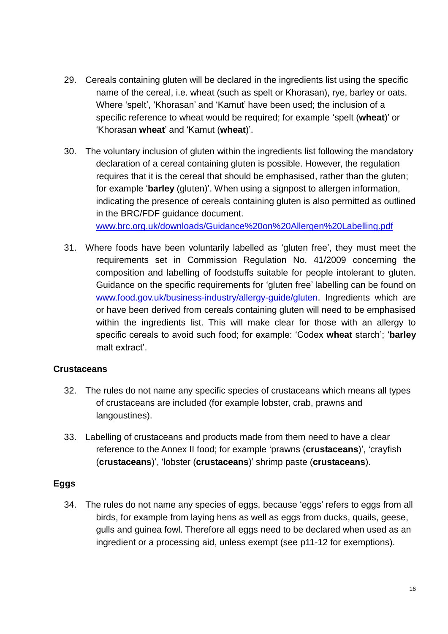- 29. Cereals containing gluten will be declared in the ingredients list using the specific name of the cereal, i.e. wheat (such as spelt or Khorasan), rye, barley or oats. Where 'spelt', 'Khorasan' and 'Kamut' have been used; the inclusion of a specific reference to wheat would be required; for example 'spelt (**wheat**)' or 'Khorasan **wheat**' and 'Kamut (**wheat**)'.
- 30. The voluntary inclusion of gluten within the ingredients list following the mandatory declaration of a cereal containing gluten is possible. However, the regulation requires that it is the cereal that should be emphasised, rather than the gluten; for example '**barley** (gluten)'. When using a signpost to allergen information, indicating the presence of cereals containing gluten is also permitted as outlined in the BRC/FDF guidance document. [www.brc.org.uk/downloads/Guidance%20on%20Allergen%20Labelling.pdf](http://www.brc.org.uk/downloads/Guidance%20on%20Allergen%20Labelling.pdf)
- 31. Where foods have been voluntarily labelled as 'gluten free', they must meet the requirements set in Commission Regulation No. 41/2009 concerning the composition and labelling of foodstuffs suitable for people intolerant to gluten. Guidance on the specific requirements for 'gluten free' labelling can be found on [www.food.gov.uk/business-industry/allergy-guide/gluten.](http://www.food.gov.uk/business-industry/allergy-guide/gluten) Ingredients which are or have been derived from cereals containing gluten will need to be emphasised within the ingredients list. This will make clear for those with an allergy to specific cereals to avoid such food; for example: 'Codex **wheat** starch'; '**barley** malt extract'.

#### **Crustaceans**

- 32. The rules do not name any specific species of crustaceans which means all types of crustaceans are included (for example lobster, crab, prawns and langoustines).
- 33. Labelling of crustaceans and products made from them need to have a clear reference to the Annex II food; for example 'prawns (**crustaceans**)', 'crayfish (**crustaceans**)', 'lobster (**crustaceans**)' shrimp paste (**crustaceans**).

## **Eggs**

34. The rules do not name any species of eggs, because 'eggs' refers to eggs from all birds, for example from laying hens as well as eggs from ducks, quails, geese, gulls and guinea fowl. Therefore all eggs need to be declared when used as an ingredient or a processing aid, unless exempt (see p11-12 for exemptions).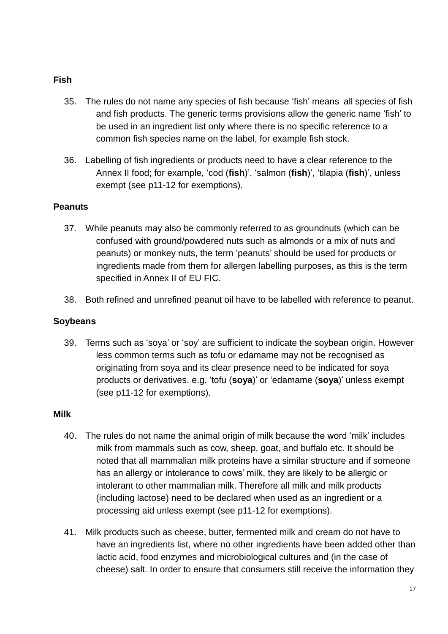#### **Fish**

- 35. The rules do not name any species of fish because 'fish' means all species of fish and fish products. The generic terms provisions allow the generic name 'fish' to be used in an ingredient list only where there is no specific reference to a common fish species name on the label, for example fish stock.
- 36. Labelling of fish ingredients or products need to have a clear reference to the Annex II food; for example, 'cod (**fish**)', 'salmon (**fish**)', 'tilapia (**fish**)', unless exempt (see p11-12 for exemptions).

#### **Peanuts**

- 37. While peanuts may also be commonly referred to as groundnuts (which can be confused with ground/powdered nuts such as almonds or a mix of nuts and peanuts) or monkey nuts, the term 'peanuts' should be used for products or ingredients made from them for allergen labelling purposes, as this is the term specified in Annex II of EU FIC.
- 38. Both refined and unrefined peanut oil have to be labelled with reference to peanut.

#### **Soybeans**

39. Terms such as 'soya' or 'soy' are sufficient to indicate the soybean origin. However less common terms such as tofu or edamame may not be recognised as originating from soya and its clear presence need to be indicated for soya products or derivatives. e.g. 'tofu (**soya**)' or 'edamame (**soya**)' unless exempt (see p11-12 for exemptions).

#### **Milk**

- 40. The rules do not name the animal origin of milk because the word 'milk' includes milk from mammals such as cow, sheep, goat, and buffalo etc. It should be noted that all mammalian milk proteins have a similar structure and if someone has an allergy or intolerance to cows' milk, they are likely to be allergic or intolerant to other mammalian milk. Therefore all milk and milk products (including lactose) need to be declared when used as an ingredient or a processing aid unless exempt (see p11-12 for exemptions).
- 41. Milk products such as cheese, butter, fermented milk and cream do not have to have an ingredients list, where no other ingredients have been added other than lactic acid, food enzymes and microbiological cultures and (in the case of cheese) salt. In order to ensure that consumers still receive the information they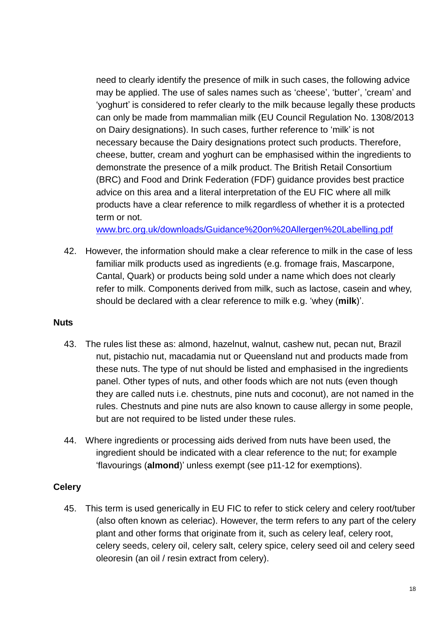need to clearly identify the presence of milk in such cases, the following advice may be applied. The use of sales names such as 'cheese', 'butter', 'cream' and 'yoghurt' is considered to refer clearly to the milk because legally these products can only be made from mammalian milk (EU Council Regulation No. 1308/2013 on Dairy designations). In such cases, further reference to 'milk' is not necessary because the Dairy designations protect such products. Therefore, cheese, butter, cream and yoghurt can be emphasised within the ingredients to demonstrate the presence of a milk product. The British Retail Consortium (BRC) and Food and Drink Federation (FDF) guidance provides best practice advice on this area and a literal interpretation of the EU FIC where all milk products have a clear reference to milk regardless of whether it is a protected term or not.

[www.brc.org.uk/downloads/Guidance%20on%20Allergen%20Labelling.pdf](http://www.brc.org.uk/downloads/Guidance%20on%20Allergen%20Labelling.pdf)

42. However, the information should make a clear reference to milk in the case of less familiar milk products used as ingredients (e.g. fromage frais, Mascarpone, Cantal, Quark) or products being sold under a name which does not clearly refer to milk. Components derived from milk, such as lactose, casein and whey, should be declared with a clear reference to milk e.g. 'whey (**milk**)'.

#### **Nuts**

- 43. The rules list these as: almond, hazelnut, walnut, cashew nut, pecan nut, Brazil nut, pistachio nut, macadamia nut or Queensland nut and products made from these nuts. The type of nut should be listed and emphasised in the ingredients panel. Other types of nuts, and other foods which are not nuts (even though they are called nuts i.e. chestnuts, pine nuts and coconut), are not named in the rules. Chestnuts and pine nuts are also known to cause allergy in some people, but are not required to be listed under these rules.
- 44. Where ingredients or processing aids derived from nuts have been used, the ingredient should be indicated with a clear reference to the nut; for example 'flavourings (**almond**)' unless exempt (see p11-12 for exemptions).

#### **Celery**

45. This term is used generically in EU FIC to refer to stick celery and celery root/tuber (also often known as celeriac). However, the term refers to any part of the celery plant and other forms that originate from it, such as celery leaf, celery root, celery seeds, celery oil, celery salt, celery spice, celery seed oil and celery seed oleoresin (an oil / resin extract from celery).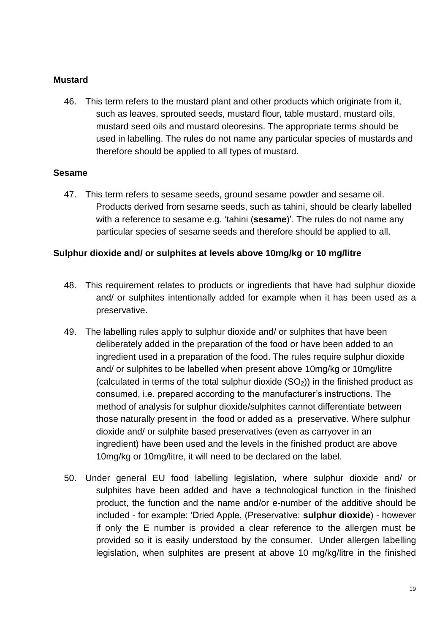#### **Mustard**

46. This term refers to the mustard plant and other products which originate from it, such as leaves, sprouted seeds, mustard flour, table mustard, mustard oils, mustard seed oils and mustard oleoresins. The appropriate terms should be used in labelling. The rules do not name any particular species of mustards and therefore should be applied to all types of mustard.

#### **Sesame**

47. This term refers to sesame seeds, ground sesame powder and sesame oil. Products derived from sesame seeds, such as tahini, should be clearly labelled with a reference to sesame e.g. 'tahini (**sesame**)'. The rules do not name any particular species of sesame seeds and therefore should be applied to all.

#### **Sulphur dioxide and/ or sulphites at levels above 10mg/kg or 10 mg/litre**

- 48. This requirement relates to products or ingredients that have had sulphur dioxide and/ or sulphites intentionally added for example when it has been used as a preservative.
- 49. The labelling rules apply to sulphur dioxide and/ or sulphites that have been deliberately added in the preparation of the food or have been added to an ingredient used in a preparation of the food. The rules require sulphur dioxide and/ or sulphites to be labelled when present above 10mg/kg or 10mg/litre (calculated in terms of the total sulphur dioxide  $(SO<sub>2</sub>)$ ) in the finished product as consumed, i.e. prepared according to the manufacturer's instructions. The method of analysis for sulphur dioxide/sulphites cannot differentiate between those naturally present in the food or added as a preservative. Where sulphur dioxide and/ or sulphite based preservatives (even as carryover in an ingredient) have been used and the levels in the finished product are above 10mg/kg or 10mg/litre, it will need to be declared on the label.
- 50. Under general EU food labelling legislation, where sulphur dioxide and/ or sulphites have been added and have a technological function in the finished product, the function and the name and/or e-number of the additive should be included - for example: 'Dried Apple, (Preservative: **sulphur dioxide**) - however if only the E number is provided a clear reference to the allergen must be provided so it is easily understood by the consumer. Under allergen labelling legislation, when sulphites are present at above 10 mg/kg/litre in the finished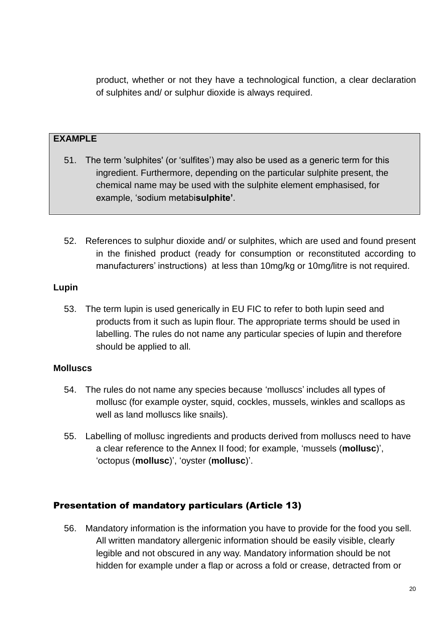product, whether or not they have a technological function, a clear declaration of sulphites and/ or sulphur dioxide is always required.

#### **EXAMPLE**

- 51. The term 'sulphites' (or 'sulfites') may also be used as a generic term for this ingredient. Furthermore, depending on the particular sulphite present, the chemical name may be used with the sulphite element emphasised, for example, 'sodium metabi**sulphite'**.
- 52. References to sulphur dioxide and/ or sulphites, which are used and found present in the finished product (ready for consumption or reconstituted according to manufacturers' instructions) at less than 10mg/kg or 10mg/litre is not required.

#### **Lupin**

53. The term lupin is used generically in EU FIC to refer to both lupin seed and products from it such as lupin flour. The appropriate terms should be used in labelling. The rules do not name any particular species of lupin and therefore should be applied to all.

#### **Molluscs**

- 54. The rules do not name any species because 'molluscs' includes all types of mollusc (for example oyster, squid, cockles, mussels, winkles and scallops as well as land molluscs like snails).
- 55. Labelling of mollusc ingredients and products derived from molluscs need to have a clear reference to the Annex II food; for example, 'mussels (**mollusc**)', 'octopus (**mollusc**)', 'oyster (**mollusc**)'.

#### <span id="page-18-0"></span>Presentation of mandatory particulars (Article 13)

56. Mandatory information is the information you have to provide for the food you sell. All written mandatory allergenic information should be easily visible, clearly legible and not obscured in any way. Mandatory information should be not hidden for example under a flap or across a fold or crease, detracted from or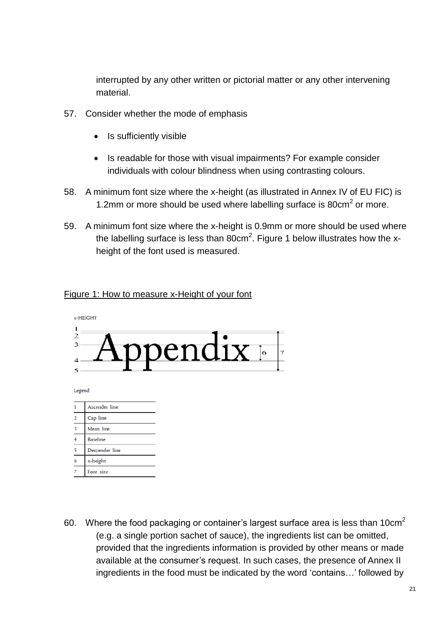interrupted by any other written or pictorial matter or any other intervening material.

- 57. Consider whether the mode of emphasis
	- Is sufficiently visible
	- Is readable for those with visual impairments? For example consider individuals with colour blindness when using contrasting colours.
- 58. A minimum font size where the x-height (as illustrated in Annex IV of EU FIC) is 1.2mm or more should be used where labelling surface is  $80 \text{cm}^2$  or more.
- 59. A minimum font size where the x-height is 0.9mm or more should be used where the labelling surface is less than 80cm<sup>2</sup>. Figure 1 below illustrates how the xheight of the font used is measured.

#### Figure 1: How to measure x-Height of your font



- Baseline Descender line  $\overline{5}$ x-height Font size
- 60. Where the food packaging or container's largest surface area is less than  $10 \text{cm}^2$ (e.g. a single portion sachet of sauce), the ingredients list can be omitted, provided that the ingredients information is provided by other means or made available at the consumer's request. In such cases, the presence of Annex II ingredients in the food must be indicated by the word 'contains…' followed by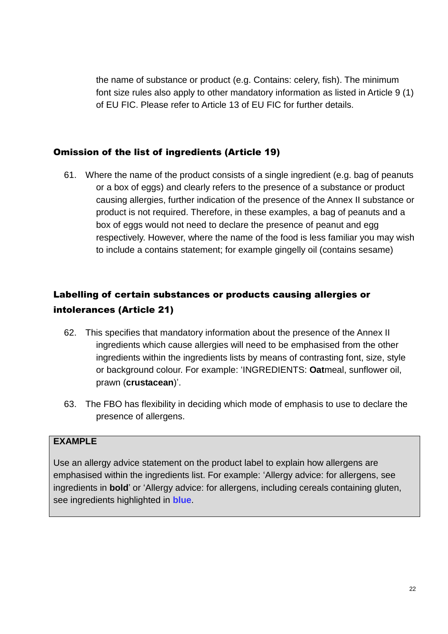the name of substance or product (e.g. Contains: celery, fish). The minimum font size rules also apply to other mandatory information as listed in Article 9 (1) of EU FIC. Please refer to Article 13 of EU FIC for further details.

## <span id="page-20-0"></span>Omission of the list of ingredients (Article 19)

61. Where the name of the product consists of a single ingredient (e.g. bag of peanuts or a box of eggs) and clearly refers to the presence of a substance or product causing allergies, further indication of the presence of the Annex II substance or product is not required. Therefore, in these examples, a bag of peanuts and a box of eggs would not need to declare the presence of peanut and egg respectively. However, where the name of the food is less familiar you may wish to include a contains statement; for example gingelly oil (contains sesame)

## Labelling of certain substances or products causing allergies or intolerances (Article 21)

- 62. This specifies that mandatory information about the presence of the Annex II ingredients which cause allergies will need to be emphasised from the other ingredients within the ingredients lists by means of contrasting font, size, style or background colour. For example: 'INGREDIENTS: **Oat**meal, sunflower oil, prawn (**crustacean**)'.
- 63. The FBO has flexibility in deciding which mode of emphasis to use to declare the presence of allergens.

#### **EXAMPLE**

Use an allergy advice statement on the product label to explain how allergens are emphasised within the ingredients list. For example: 'Allergy advice: for allergens, see ingredients in **bold**' or 'Allergy advice: for allergens, including cereals containing gluten, see ingredients highlighted in **blue**.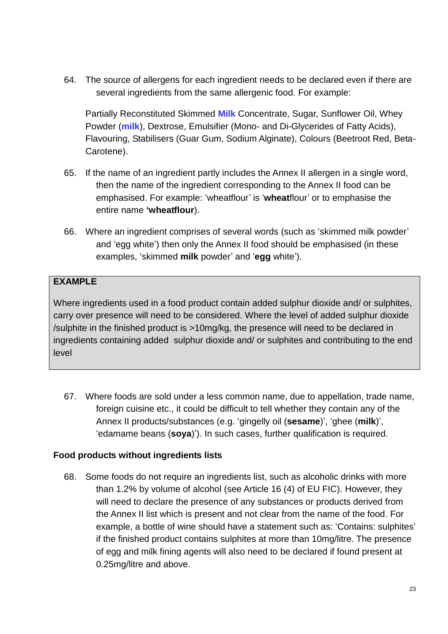64. The source of allergens for each ingredient needs to be declared even if there are several ingredients from the same allergenic food. For example:

Partially Reconstituted Skimmed **Milk** Concentrate, Sugar, Sunflower Oil, Whey Powder (**milk**), Dextrose, Emulsifier (Mono- and Di-Glycerides of Fatty Acids), Flavouring, Stabilisers (Guar Gum, Sodium Alginate), Colours (Beetroot Red, Beta-Carotene).

- 65. If the name of an ingredient partly includes the Annex II allergen in a single word, then the name of the ingredient corresponding to the Annex II food can be emphasised. For example: 'wheatflour' is '**wheat**flour' or to emphasise the entire name **'wheatflour**).
- 66. Where an ingredient comprises of several words (such as 'skimmed milk powder' and 'egg white') then only the Annex II food should be emphasised (in these examples, 'skimmed **milk** powder' and '**egg** white').

#### **EXAMPLE**

Where ingredients used in a food product contain added sulphur dioxide and/ or sulphites, carry over presence will need to be considered. Where the level of added sulphur dioxide /sulphite in the finished product is >10mg/kg, the presence will need to be declared in ingredients containing added sulphur dioxide and/ or sulphites and contributing to the end level

67. Where foods are sold under a less common name, due to appellation, trade name, foreign cuisine etc., it could be difficult to tell whether they contain any of the Annex II products/substances (e.g. 'gingelly oil (**sesame**)', 'ghee (**milk**)', 'edamame beans (**soya**)'). In such cases, further qualification is required.

#### **Food products without ingredients lists**

68. Some foods do not require an ingredients list, such as alcoholic drinks with more than 1.2% by volume of alcohol (see Article 16 (4) of EU FIC). However, they will need to declare the presence of any substances or products derived from the Annex II list which is present and not clear from the name of the food. For example, a bottle of wine should have a statement such as: 'Contains: sulphites' if the finished product contains sulphites at more than 10mg/litre. The presence of egg and milk fining agents will also need to be declared if found present at 0.25mg/litre and above.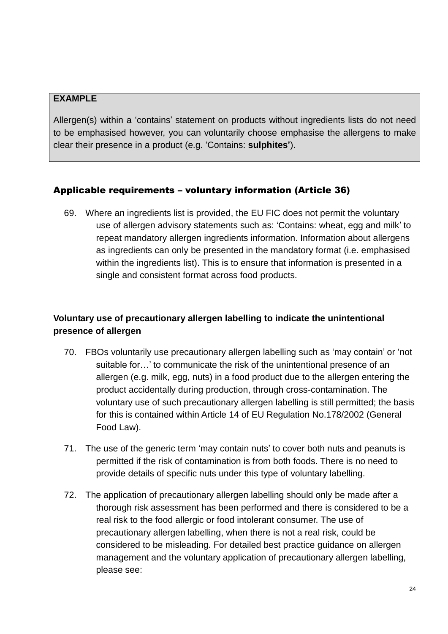Allergen(s) within a 'contains' statement on products without ingredients lists do not need to be emphasised however, you can voluntarily choose emphasise the allergens to make clear their presence in a product (e.g. 'Contains: **sulphites'**).

#### <span id="page-22-0"></span>Applicable requirements – voluntary information (Article 36)

69. Where an ingredients list is provided, the EU FIC does not permit the voluntary use of allergen advisory statements such as: 'Contains: wheat, egg and milk' to repeat mandatory allergen ingredients information. Information about allergens as ingredients can only be presented in the mandatory format (i.e. emphasised within the ingredients list). This is to ensure that information is presented in a single and consistent format across food products.

## **Voluntary use of precautionary allergen labelling to indicate the unintentional presence of allergen**

- 70. FBOs voluntarily use precautionary allergen labelling such as 'may contain' or 'not suitable for…' to communicate the risk of the unintentional presence of an allergen (e.g. milk, egg, nuts) in a food product due to the allergen entering the product accidentally during production, through cross-contamination. The voluntary use of such precautionary allergen labelling is still permitted; the basis for this is contained within Article 14 of EU Regulation No.178/2002 (General Food Law).
- 71. The use of the generic term 'may contain nuts' to cover both nuts and peanuts is permitted if the risk of contamination is from both foods. There is no need to provide details of specific nuts under this type of voluntary labelling.
- 72. The application of precautionary allergen labelling should only be made after a thorough risk assessment has been performed and there is considered to be a real risk to the food allergic or food intolerant consumer. The use of precautionary allergen labelling, when there is not a real risk, could be considered to be misleading. For detailed best practice guidance on allergen management and the voluntary application of precautionary allergen labelling, please see: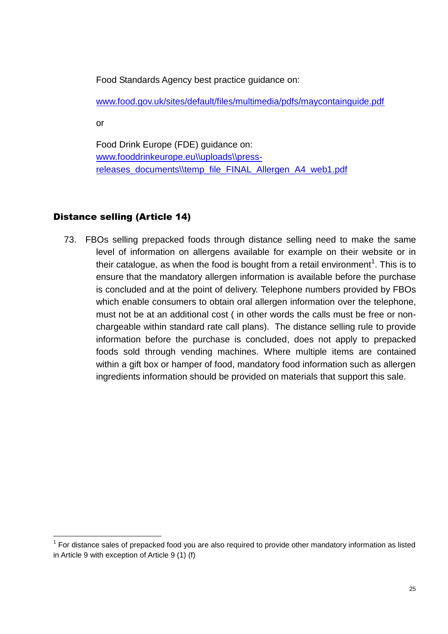Food Standards Agency best practice guidance on:

[www.food.gov.uk/sites/default/files/multimedia/pdfs/maycontainguide.pdf](http://www.food.gov.uk/sites/default/files/multimedia/pdfs/maycontainguide.pdf)

or

Food Drink Europe (FDE) guidance on: [www.fooddrinkeurope.eu\\uploads\\press](http://www.fooddrinkeurope.eu/uploads/press-releases_documents/temp_file_FINAL_Allergen_A4_web1.pdf)[releases\\_documents\\temp\\_file\\_FINAL\\_Allergen\\_A4\\_web1.pdf](http://www.fooddrinkeurope.eu/uploads/press-releases_documents/temp_file_FINAL_Allergen_A4_web1.pdf)

## <span id="page-23-0"></span>Distance selling (Article 14)

73. FBOs selling prepacked foods through distance selling need to make the same level of information on allergens available for example on their website or in their catalogue, as when the food is bought from a retail environment<sup>1</sup>. This is to ensure that the mandatory allergen information is available before the purchase is concluded and at the point of delivery. Telephone numbers provided by FBOs which enable consumers to obtain oral allergen information over the telephone, must not be at an additional cost ( in other words the calls must be free or nonchargeable within standard rate call plans). The distance selling rule to provide information before the purchase is concluded, does not apply to prepacked foods sold through vending machines. Where multiple items are contained within a gift box or hamper of food, mandatory food information such as allergen ingredients information should be provided on materials that support this sale.

 1 For distance sales of prepacked food you are also required to provide other mandatory information as listed in Article 9 with exception of Article 9 (1) (f)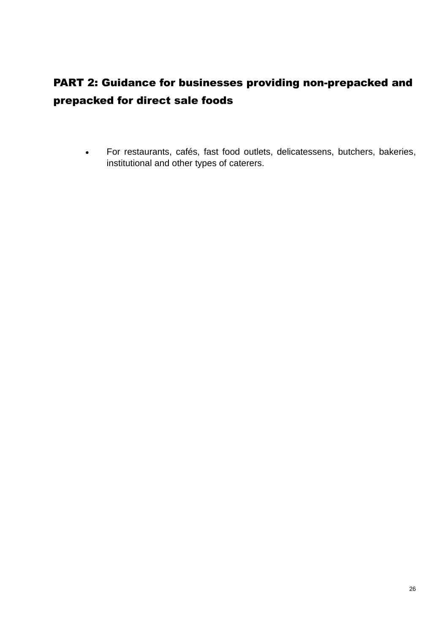# <span id="page-24-0"></span>PART 2: Guidance for businesses providing non-prepacked and prepacked for direct sale foods

 For restaurants, cafés, fast food outlets, delicatessens, butchers, bakeries, institutional and other types of caterers.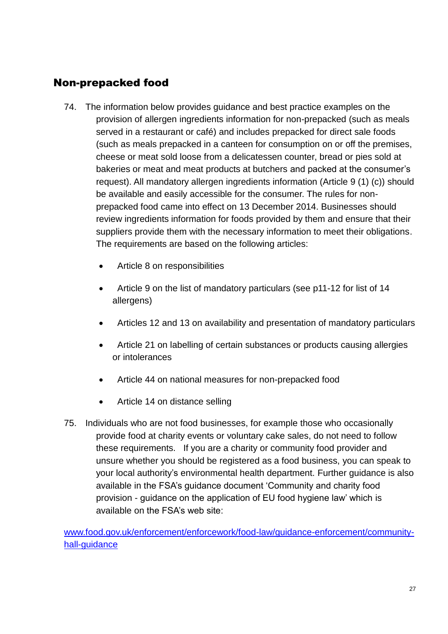# <span id="page-25-0"></span>Non-prepacked food

- 74. The information below provides guidance and best practice examples on the provision of allergen ingredients information for non-prepacked (such as meals served in a restaurant or café) and includes prepacked for direct sale foods (such as meals prepacked in a canteen for consumption on or off the premises, cheese or meat sold loose from a delicatessen counter, bread or pies sold at bakeries or meat and meat products at butchers and packed at the consumer's request). All mandatory allergen ingredients information (Article 9 (1) (c)) should be available and easily accessible for the consumer. The rules for nonprepacked food came into effect on 13 December 2014. Businesses should review ingredients information for foods provided by them and ensure that their suppliers provide them with the necessary information to meet their obligations. The requirements are based on the following articles:
	- Article 8 on responsibilities
	- Article 9 on the list of mandatory particulars (see p11-12 for list of 14 allergens)
	- Articles 12 and 13 on availability and presentation of mandatory particulars
	- Article 21 on labelling of certain substances or products causing allergies or intolerances
	- Article 44 on national measures for non-prepacked food
	- Article 14 on distance selling
- 75. Individuals who are not food businesses, for example those who occasionally provide food at charity events or voluntary cake sales, do not need to follow these requirements. If you are a charity or community food provider and unsure whether you should be registered as a food business, you can speak to your local authority's environmental health department. Further guidance is also available in the FSA's guidance document 'Community and charity food provision - guidance on the application of EU food hygiene law' which is available on the FSA's web site:

[www.food.gov.uk/enforcement/enforcework/food-law/guidance-enforcement/community](http://www.food.gov.uk/enforcement/enforcework/food-law/guidance-enforcement/community-hall-guidance)[hall-guidance](http://www.food.gov.uk/enforcement/enforcework/food-law/guidance-enforcement/community-hall-guidance)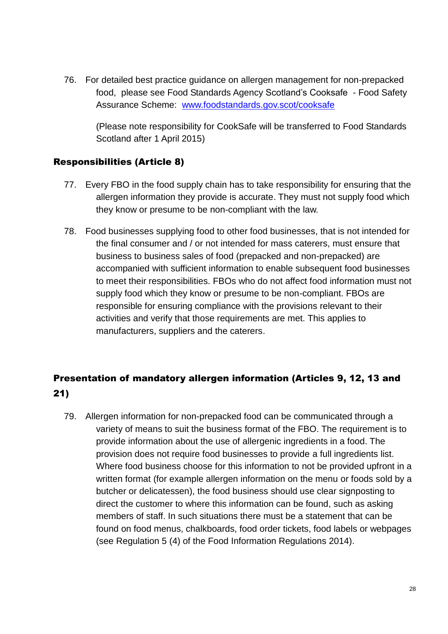76. For detailed best practice guidance on allergen management for non-prepacked food, please see Food Standards Agency Scotland's Cooksafe - Food Safety Assurance Scheme: [www.foodstandards.gov.scot/cooksafe](http://www.foodstandards.gov.scot/cooksafe)

(Please note responsibility for CookSafe will be transferred to Food Standards Scotland after 1 April 2015)

## <span id="page-26-0"></span>Responsibilities (Article 8)

- 77. Every FBO in the food supply chain has to take responsibility for ensuring that the allergen information they provide is accurate. They must not supply food which they know or presume to be non-compliant with the law.
- 78. Food businesses supplying food to other food businesses, that is not intended for the final consumer and / or not intended for mass caterers, must ensure that business to business sales of food (prepacked and non-prepacked) are accompanied with sufficient information to enable subsequent food businesses to meet their responsibilities. FBOs who do not affect food information must not supply food which they know or presume to be non-compliant. FBOs are responsible for ensuring compliance with the provisions relevant to their activities and verify that those requirements are met. This applies to manufacturers, suppliers and the caterers.

## <span id="page-26-1"></span>Presentation of mandatory allergen information (Articles 9, 12, 13 and 21)

79. Allergen information for non-prepacked food can be communicated through a variety of means to suit the business format of the FBO. The requirement is to provide information about the use of allergenic ingredients in a food. The provision does not require food businesses to provide a full ingredients list. Where food business choose for this information to not be provided upfront in a written format (for example allergen information on the menu or foods sold by a butcher or delicatessen), the food business should use clear signposting to direct the customer to where this information can be found, such as asking members of staff. In such situations there must be a statement that can be found on food menus, chalkboards, food order tickets, food labels or webpages (see Regulation 5 (4) of the Food Information Regulations 2014).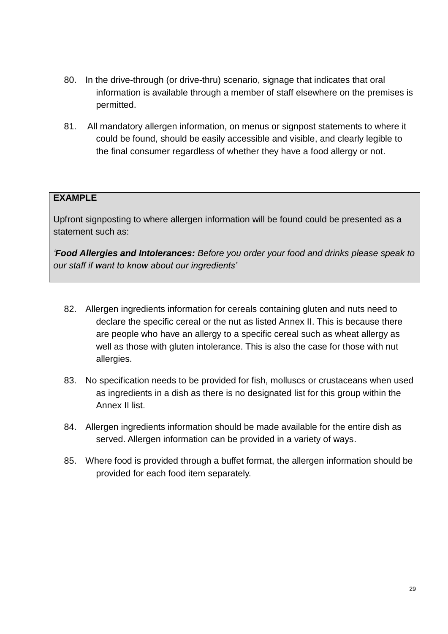- 80. In the drive-through (or drive-thru) scenario, signage that indicates that oral information is available through a member of staff elsewhere on the premises is permitted.
- 81. All mandatory allergen information, on menus or signpost statements to where it could be found, should be easily accessible and visible, and clearly legible to the final consumer regardless of whether they have a food allergy or not.

Upfront signposting to where allergen information will be found could be presented as a statement such as:

*'Food Allergies and Intolerances: Before you order your food and drinks please speak to our staff if want to know about our ingredients'*

- 82. Allergen ingredients information for cereals containing gluten and nuts need to declare the specific cereal or the nut as listed Annex II. This is because there are people who have an allergy to a specific cereal such as wheat allergy as well as those with gluten intolerance. This is also the case for those with nut allergies.
- 83. No specification needs to be provided for fish, molluscs or crustaceans when used as ingredients in a dish as there is no designated list for this group within the Annex II list.
- 84. Allergen ingredients information should be made available for the entire dish as served. Allergen information can be provided in a variety of ways.
- 85. Where food is provided through a buffet format, the allergen information should be provided for each food item separately.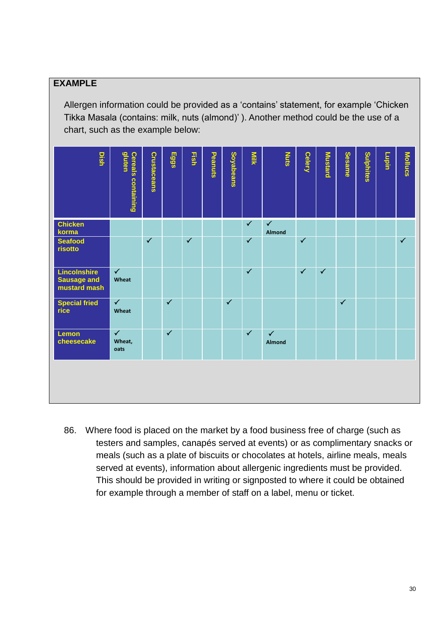Allergen information could be provided as a 'contains' statement, for example 'Chicken Tikka Masala (contains: milk, nuts (almond)' ). Another method could be the use of a chart, such as the example below:

| Dish                                               | gluten<br><b>Cereals containing</b> | <b>Crustaceans</b> | Eggs         | <b>Fish</b>  | Peanuts | <b>Soyabeans</b> | <b>Nilk</b>  | <b>Nuts</b>            | <b>Celery</b> | <b>Mustard</b> | <b>Sesame</b> | Sulphites | <b>Lupin</b> | Mollucs      |
|----------------------------------------------------|-------------------------------------|--------------------|--------------|--------------|---------|------------------|--------------|------------------------|---------------|----------------|---------------|-----------|--------------|--------------|
| <b>Chicken</b><br>korma                            |                                     |                    |              |              |         |                  | $\checkmark$ | $\checkmark$<br>Almond |               |                |               |           |              |              |
| <b>Seafood</b><br>risotto                          |                                     | $\checkmark$       |              | $\checkmark$ |         |                  | $\checkmark$ |                        | $\checkmark$  |                |               |           |              | $\checkmark$ |
| Lincolnshire<br><b>Sausage and</b><br>mustard mash | $\checkmark$<br>Wheat               |                    |              |              |         |                  | $\checkmark$ |                        | $\checkmark$  | $\checkmark$   |               |           |              |              |
| <b>Special fried</b><br>rice                       | $\checkmark$<br>Wheat               |                    | $\checkmark$ |              |         | $\checkmark$     |              |                        |               |                | $\checkmark$  |           |              |              |
| Lemon<br>cheesecake                                | $\checkmark$<br>Wheat,<br>oats      |                    | $\checkmark$ |              |         |                  | $\checkmark$ | $\checkmark$<br>Almond |               |                |               |           |              |              |
|                                                    |                                     |                    |              |              |         |                  |              |                        |               |                |               |           |              |              |

86. Where food is placed on the market by a food business free of charge (such as testers and samples, canapés served at events) or as complimentary snacks or meals (such as a plate of biscuits or chocolates at hotels, airline meals, meals served at events), information about allergenic ingredients must be provided. This should be provided in writing or signposted to where it could be obtained for example through a member of staff on a label, menu or ticket.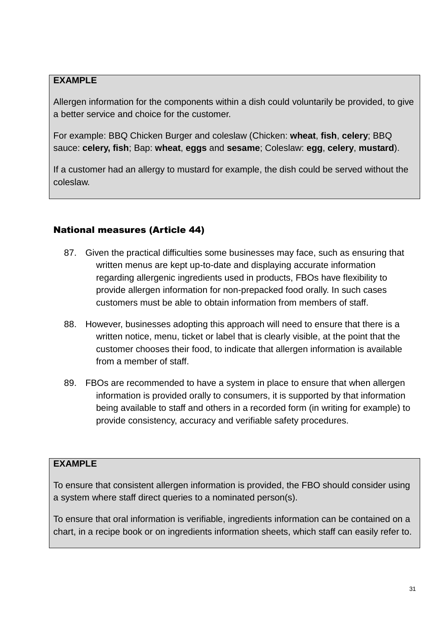Allergen information for the components within a dish could voluntarily be provided, to give a better service and choice for the customer.

For example: BBQ Chicken Burger and coleslaw (Chicken: **wheat**, **fish**, **celery**; BBQ sauce: **celery, fish**; Bap: **wheat**, **eggs** and **sesame**; Coleslaw: **egg**, **celery**, **mustard**).

If a customer had an allergy to mustard for example, the dish could be served without the coleslaw.

## <span id="page-29-0"></span>National measures (Article 44)

- 87. Given the practical difficulties some businesses may face, such as ensuring that written menus are kept up-to-date and displaying accurate information regarding allergenic ingredients used in products, FBOs have flexibility to provide allergen information for non-prepacked food orally. In such cases customers must be able to obtain information from members of staff.
- 88. However, businesses adopting this approach will need to ensure that there is a written notice, menu, ticket or label that is clearly visible, at the point that the customer chooses their food, to indicate that allergen information is available from a member of staff.
- 89. FBOs are recommended to have a system in place to ensure that when allergen information is provided orally to consumers, it is supported by that information being available to staff and others in a recorded form (in writing for example) to provide consistency, accuracy and verifiable safety procedures.

#### **EXAMPLE**

To ensure that consistent allergen information is provided, the FBO should consider using a system where staff direct queries to a nominated person(s).

To ensure that oral information is verifiable, ingredients information can be contained on a chart, in a recipe book or on ingredients information sheets, which staff can easily refer to.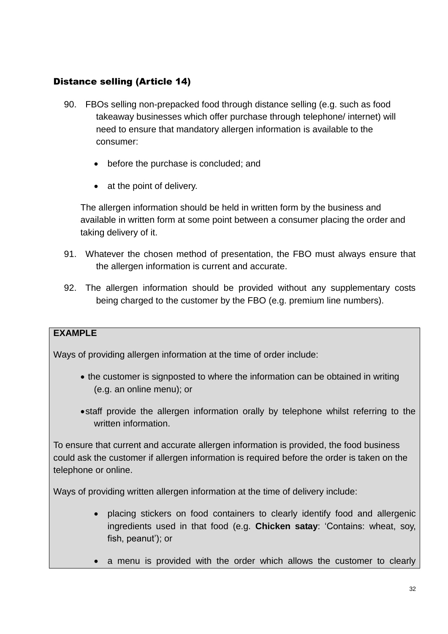## <span id="page-30-0"></span>Distance selling (Article 14)

- 90. FBOs selling non-prepacked food through distance selling (e.g. such as food takeaway businesses which offer purchase through telephone/ internet) will need to ensure that mandatory allergen information is available to the consumer:
	- before the purchase is concluded; and
	- at the point of delivery.

The allergen information should be held in written form by the business and available in written form at some point between a consumer placing the order and taking delivery of it.

- 91. Whatever the chosen method of presentation, the FBO must always ensure that the allergen information is current and accurate.
- 92. The allergen information should be provided without any supplementary costs being charged to the customer by the FBO (e.g. premium line numbers).

## **EXAMPLE**

Ways of providing allergen information at the time of order include:

- the customer is signposted to where the information can be obtained in writing (e.g. an online menu); or
- staff provide the allergen information orally by telephone whilst referring to the written information.

To ensure that current and accurate allergen information is provided, the food business could ask the customer if allergen information is required before the order is taken on the telephone or online.

Ways of providing written allergen information at the time of delivery include:

- placing stickers on food containers to clearly identify food and allergenic ingredients used in that food (e.g. **Chicken satay**: 'Contains: wheat, soy, fish, peanut'); or
- a menu is provided with the order which allows the customer to clearly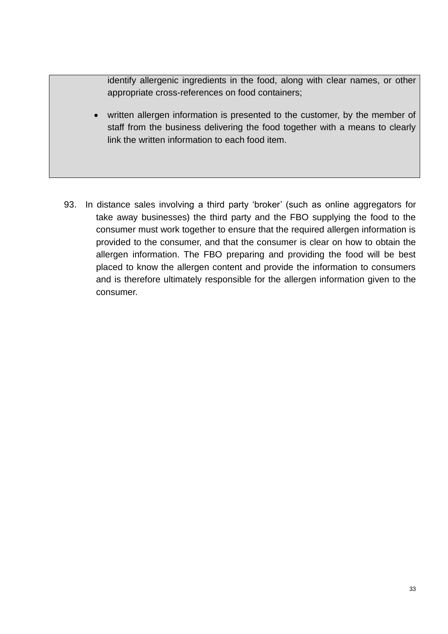identify allergenic ingredients in the food, along with clear names, or other appropriate cross-references on food containers;

- written allergen information is presented to the customer, by the member of staff from the business delivering the food together with a means to clearly link the written information to each food item.
- 93. In distance sales involving a third party 'broker' (such as online aggregators for take away businesses) the third party and the FBO supplying the food to the consumer must work together to ensure that the required allergen information is provided to the consumer, and that the consumer is clear on how to obtain the allergen information. The FBO preparing and providing the food will be best placed to know the allergen content and provide the information to consumers and is therefore ultimately responsible for the allergen information given to the consumer.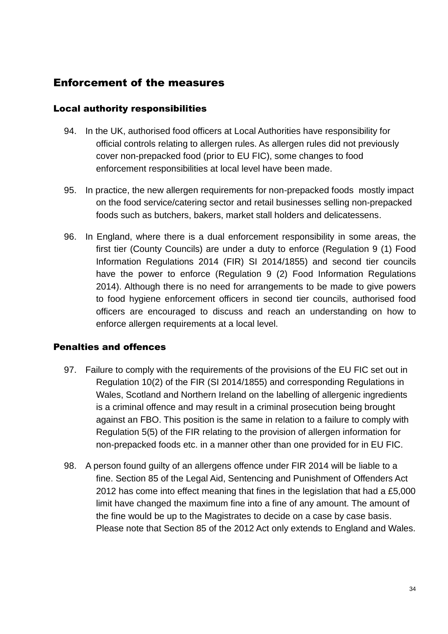## <span id="page-32-0"></span>Enforcement of the measures

#### <span id="page-32-1"></span>Local authority responsibilities

- 94. In the UK, authorised food officers at Local Authorities have responsibility for official controls relating to allergen rules. As allergen rules did not previously cover non-prepacked food (prior to EU FIC), some changes to food enforcement responsibilities at local level have been made.
- 95. In practice, the new allergen requirements for non-prepacked foods mostly impact on the food service/catering sector and retail businesses selling non-prepacked foods such as butchers, bakers, market stall holders and delicatessens.
- 96. In England, where there is a dual enforcement responsibility in some areas, the first tier (County Councils) are under a duty to enforce (Regulation 9 (1) Food Information Regulations 2014 (FIR) SI 2014/1855) and second tier councils have the power to enforce (Regulation 9 (2) Food Information Regulations 2014). Although there is no need for arrangements to be made to give powers to food hygiene enforcement officers in second tier councils, authorised food officers are encouraged to discuss and reach an understanding on how to enforce allergen requirements at a local level.

## <span id="page-32-2"></span>Penalties and offences

- 97. Failure to comply with the requirements of the provisions of the EU FIC set out in Regulation 10(2) of the FIR (SI 2014/1855) and corresponding Regulations in Wales, Scotland and Northern Ireland on the labelling of allergenic ingredients is a criminal offence and may result in a criminal prosecution being brought against an FBO. This position is the same in relation to a failure to comply with Regulation 5(5) of the FIR relating to the provision of allergen information for non-prepacked foods etc. in a manner other than one provided for in EU FIC.
- 98. A person found guilty of an allergens offence under FIR 2014 will be liable to a fine. Section 85 of the Legal Aid, Sentencing and Punishment of Offenders Act 2012 has come into effect meaning that fines in the legislation that had a £5,000 limit have changed the maximum fine into a fine of any amount. The amount of the fine would be up to the Magistrates to decide on a case by case basis. Please note that Section 85 of the 2012 Act only extends to England and Wales.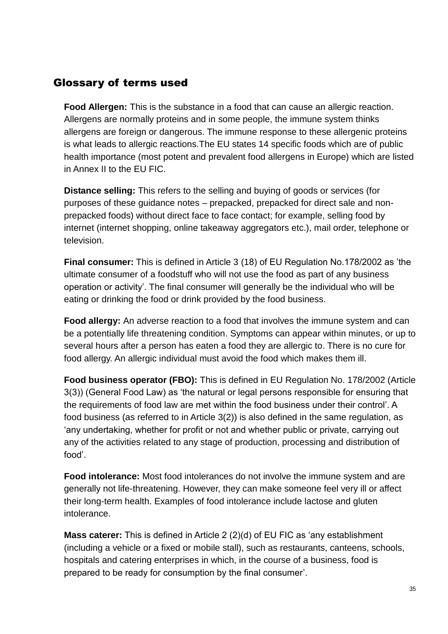## <span id="page-33-0"></span>Glossary of terms used

**Food Allergen:** This is the substance in a food that can cause an allergic reaction. Allergens are normally proteins and in some people, the immune system thinks allergens are foreign or dangerous. The immune response to these allergenic proteins is what leads to allergic reactions.The EU states 14 specific foods which are of public health importance (most potent and prevalent food allergens in Europe) which are listed in Annex II to the EU FIC.

**Distance selling:** This refers to the selling and buying of goods or services (for purposes of these guidance notes – prepacked, prepacked for direct sale and nonprepacked foods) without direct face to face contact; for example, selling food by internet (internet shopping, online takeaway aggregators etc.), mail order, telephone or television.

**Final consumer:** This is defined in Article 3 (18) of EU Regulation No.178/2002 as 'the ultimate consumer of a foodstuff who will not use the food as part of any business operation or activity'. The final consumer will generally be the individual who will be eating or drinking the food or drink provided by the food business.

**Food allergy:** An adverse reaction to a food that involves the immune system and can be a potentially life threatening condition. Symptoms can appear within minutes, or up to several hours after a person has eaten a food they are allergic to. There is no cure for food allergy. An allergic individual must avoid the food which makes them ill.

**Food business operator (FBO):** This is defined in EU Regulation No. 178/2002 (Article 3(3)) (General Food Law) as 'the natural or legal persons responsible for ensuring that the requirements of food law are met within the food business under their control'. A food business (as referred to in Article 3(2)) is also defined in the same regulation, as 'any undertaking, whether for profit or not and whether public or private, carrying out any of the activities related to any stage of production, processing and distribution of food'.

**Food intolerance:** Most food intolerances do not involve the immune system and are generally not life-threatening. However, they can make someone feel very ill or affect their long-term health. Examples of food intolerance include lactose and gluten intolerance.

**Mass caterer:** This is defined in Article 2 (2)(d) of EU FIC as 'any establishment (including a vehicle or a fixed or mobile stall), such as restaurants, canteens, schools, hospitals and catering enterprises in which, in the course of a business, food is prepared to be ready for consumption by the final consumer'.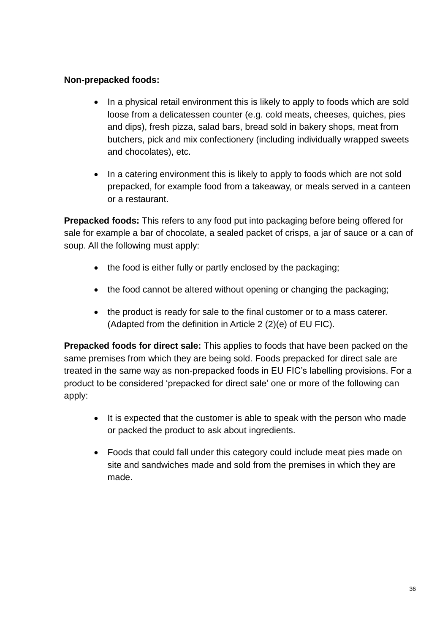#### **Non-prepacked foods:**

- In a physical retail environment this is likely to apply to foods which are sold loose from a delicatessen counter (e.g. cold meats, cheeses, quiches, pies and dips), fresh pizza, salad bars, bread sold in bakery shops, meat from butchers, pick and mix confectionery (including individually wrapped sweets and chocolates), etc.
- In a catering environment this is likely to apply to foods which are not sold prepacked, for example food from a takeaway, or meals served in a canteen or a restaurant.

**Prepacked foods:** This refers to any food put into packaging before being offered for sale for example a bar of chocolate, a sealed packet of crisps, a jar of sauce or a can of soup. All the following must apply:

- the food is either fully or partly enclosed by the packaging;
- the food cannot be altered without opening or changing the packaging;
- the product is ready for sale to the final customer or to a mass caterer. (Adapted from the definition in Article 2 (2)(e) of EU FIC).

**Prepacked foods for direct sale:** This applies to foods that have been packed on the same premises from which they are being sold. Foods prepacked for direct sale are treated in the same way as non-prepacked foods in EU FIC's labelling provisions. For a product to be considered 'prepacked for direct sale' one or more of the following can apply:

- It is expected that the customer is able to speak with the person who made or packed the product to ask about ingredients.
- Foods that could fall under this category could include meat pies made on site and sandwiches made and sold from the premises in which they are made.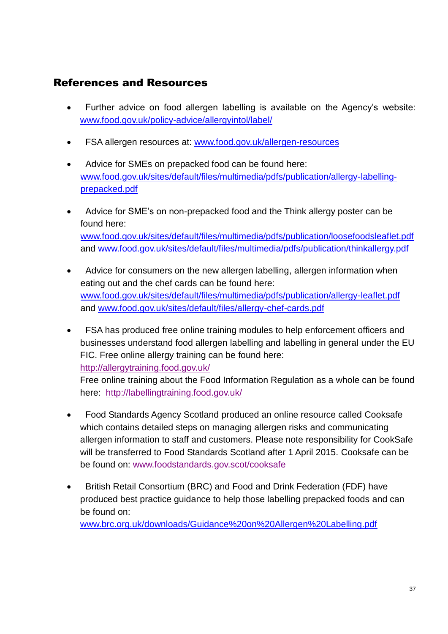## <span id="page-35-0"></span>References and Resources

- Further advice on food allergen labelling is available on the Agency's website: [www.food.gov.uk/policy-advice/allergyintol/label/](http://www.food.gov.uk/policy-advice/allergyintol/label/)
- FSA allergen resources at: www.food.gov.uk/allergen-resources
- Advice for SMEs on prepacked food can be found here: [www.food.gov.uk/sites/default/files/multimedia/pdfs/publication/allergy-labelling](http://www.food.gov.uk/sites/default/files/multimedia/pdfs/publication/allergy-labelling-prepacked.pdf)[prepacked.pdf](http://www.food.gov.uk/sites/default/files/multimedia/pdfs/publication/allergy-labelling-prepacked.pdf)
- Advice for SME's on non-prepacked food and the Think allergy poster can be found here: [www.food.gov.uk/sites/default/files/multimedia/pdfs/publication/loosefoodsleaflet.pdf](http://www.food.gov.uk/sites/default/files/multimedia/pdfs/publication/loosefoodsleaflet.pdf) and [www.food.gov.uk/sites/default/files/multimedia/pdfs/publication/thinkallergy.pdf](http://www.food.gov.uk/sites/default/files/multimedia/pdfs/publication/thinkallergy.pdf)
- Advice for consumers on the new allergen labelling, allergen information when eating out and the chef cards can be found here: [www.food.gov.uk/sites/default/files/multimedia/pdfs/publication/allergy-leaflet.pdf](http://www.food.gov.uk/sites/default/files/multimedia/pdfs/publication/allergy-leaflet.pdf) and [www.food.gov.uk/sites/default/files/allergy-chef-cards.pdf](http://www.food.gov.uk/sites/default/files/allergy-chef-cards.pdf)
- FSA has produced free online training modules to help enforcement officers and businesses understand food allergen labelling and labelling in general under the EU FIC. Free online allergy training can be found here: <http://allergytraining.food.gov.uk/>

Free online training about the Food Information Regulation as a whole can be found here: <http://labellingtraining.food.gov.uk/>

- Food Standards Agency Scotland produced an online resource called Cooksafe which contains detailed steps on managing allergen risks and communicating allergen information to staff and customers. Please note responsibility for CookSafe will be transferred to Food Standards Scotland after 1 April 2015. Cooksafe can be be found on: [www.foodstandards.gov.scot/cooksafe](http://www.foodstandards.gov.scot/cooksafe)
- British Retail Consortium (BRC) and Food and Drink Federation (FDF) have produced best practice guidance to help those labelling prepacked foods and can be found on:

[www.brc.org.uk/downloads/Guidance%20on%20Allergen%20Labelling.pdf](http://www.brc.org.uk/downloads/Guidance%20on%20Allergen%20Labelling.pdf)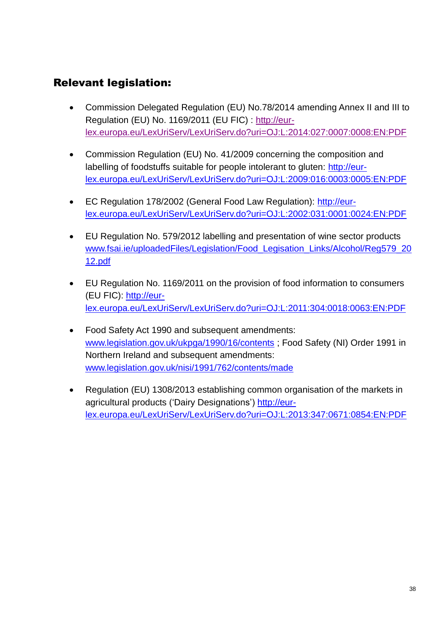# <span id="page-36-0"></span>Relevant legislation:

- Commission Delegated Regulation (EU) No.78/2014 amending Annex II and III to Regulation (EU) No. 1169/2011 (EU FIC) : [http://eur](http://eur-lex.europa.eu/LexUriServ/LexUriServ.do?uri=OJ:L:2014:027:0007:0008:EN:PDF)[lex.europa.eu/LexUriServ/LexUriServ.do?uri=OJ:L:2014:027:0007:0008:EN:PDF](http://eur-lex.europa.eu/LexUriServ/LexUriServ.do?uri=OJ:L:2014:027:0007:0008:EN:PDF)
- Commission Regulation (EU) No. 41/2009 concerning the composition and labelling of foodstuffs suitable for people intolerant to gluten: [http://eur](http://eur-lex.europa.eu/LexUriServ/LexUriServ.do?uri=OJ:L:2009:016:0003:0005:EN:PDF)[lex.europa.eu/LexUriServ/LexUriServ.do?uri=OJ:L:2009:016:0003:0005:EN:PDF](http://eur-lex.europa.eu/LexUriServ/LexUriServ.do?uri=OJ:L:2009:016:0003:0005:EN:PDF)
- EC Regulation 178/2002 (General Food Law Regulation): [http://eur](http://eur-lex.europa.eu/LexUriServ/LexUriServ.do?uri=OJ:L:2002:031:0001:0024:EN:PDF)[lex.europa.eu/LexUriServ/LexUriServ.do?uri=OJ:L:2002:031:0001:0024:EN:PDF](http://eur-lex.europa.eu/LexUriServ/LexUriServ.do?uri=OJ:L:2002:031:0001:0024:EN:PDF)
- EU Regulation No. 579/2012 labelling and presentation of wine sector products www.fsai.ie/uploadedFiles/Legislation/Food Legisation Links/Alcohol/Reg579 20 [12.pdf](http://www.fsai.ie/uploadedFiles/Legislation/Food_Legisation_Links/Alcohol/Reg579_2012.pdf)
- EU Regulation No. 1169/2011 on the provision of food information to consumers (EU FIC): [http://eur](http://eur-lex.europa.eu/LexUriServ/LexUriServ.do?uri=OJ:L:2011:304:0018:0063:EN:PDF)[lex.europa.eu/LexUriServ/LexUriServ.do?uri=OJ:L:2011:304:0018:0063:EN:PDF](http://eur-lex.europa.eu/LexUriServ/LexUriServ.do?uri=OJ:L:2011:304:0018:0063:EN:PDF)
- Food Safety Act 1990 and subsequent amendments: [www.legislation.gov.uk/ukpga/1990/16/contents](http://www.legislation.gov.uk/ukpga/1990/16/contents) ; Food Safety (NI) Order 1991 in Northern Ireland and subsequent amendments: [www.legislation.gov.uk/nisi/1991/762/contents/made](http://www.legislation.gov.uk/nisi/1991/762/contents/made)
- Regulation (EU) 1308/2013 establishing common organisation of the markets in agricultural products ('Dairy Designations') [http://eur](http://eur-lex.europa.eu/LexUriServ/LexUriServ.do?uri=OJ:L:2013:347:0671:0854:EN:PDF)[lex.europa.eu/LexUriServ/LexUriServ.do?uri=OJ:L:2013:347:0671:0854:EN:PDF](http://eur-lex.europa.eu/LexUriServ/LexUriServ.do?uri=OJ:L:2013:347:0671:0854:EN:PDF)